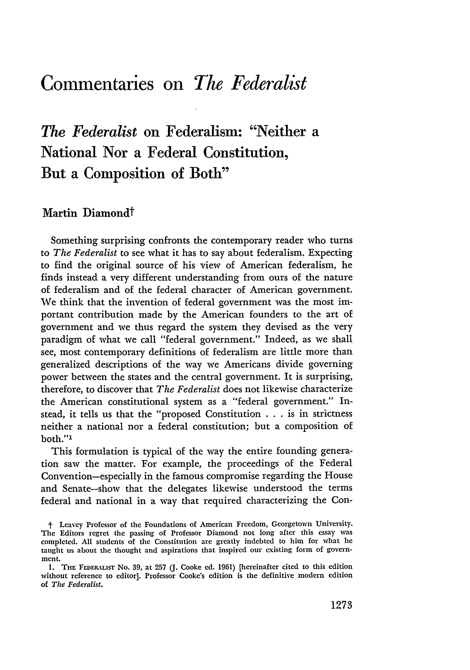## **Commentaries on** *The Federalist*

## *The Federalist* on Federalism: "Neither a National Nor a Federal Constitution, But a Composition of Both"

## Martin Diamondt

Something surprising confronts the contemporary reader who turns to *The Federalist* to see what it has to say about federalism. Expecting to find the original source of his view of American federalism, he finds instead a very different understanding from ours of the nature of federalism and of the federal character of American government. We think that the invention of federal government was the most important contribution made by the American founders to the art of government and we thus regard the system they devised as the very paradigm of what we call "federal government." Indeed, as we shall see, most contemporary definitions of federalism are little more than generalized descriptions of the way we Americans divide governing power between the states and the central government. It is surprising, therefore, to discover that *The Federalist* does not likewise characterize the American constitutional system as a "federal government." Instead, it tells us that the "proposed Constitution . . . is in strictness neither a national nor a federal constitution; but a composition of both."'

This formulation is typical of the way the entire founding generation saw the matter. For example, the proceedings of the Federal Convention-especially in the famous compromise regarding the House and Senate-show that the delegates likewise understood the terms federal and national in a way that required characterizing the Con-

t Leavey Professor of the Foundations of American Freedom, Georgetown University. The Editors regret the passing of Professor Diamond not long after this essay **was** completed. **All** students of the Constitution are greatly indebted to him for what **he** taught us about the thought and aspirations that inspired our existing form of government.

<sup>1.</sup> THE FEDERALIST No. 39, at 257 (J. Cooke ed. 1961) [hereinafter cited to this edition without reference to editor]. Professor Cooke's edition is the definitive modern edition of *The Federalist.*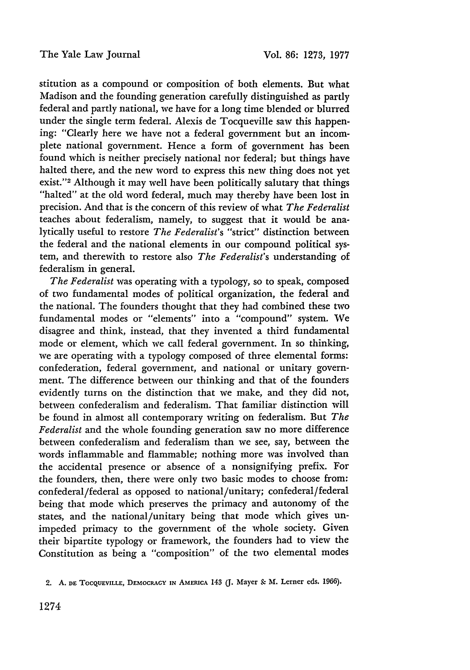stitution as a compound or composition of both elements. But what Madison and the founding generation carefully distinguished as partly federal and partly national, we have for a long time blended or blurred under the single term federal. Alexis de Tocqueville saw this happening: "Clearly here we have not a federal government but an incomplete national government. Hence a form of government has been found which is neither precisely national nor federal; but things have halted there, and the new word to express this new thing does not yet exist."<sup>2</sup> Although it may well have been politically salutary that things "halted" at the old word federal, much may thereby have been lost in precision. And that is the concern of this review of what *The Federalist* teaches about federalism, namely, to suggest that it would be analytically useful to restore *The Federalist's* "strict" distinction between the federal and the national elements in our compound political system, and therewith to restore also *The Federalist's* understanding of federalism in general.

*The Federalist* was operating with a typology, so to speak, composed of two fundamental modes of political organization, the federal and the national. The founders thought that they had combined these two fundamental modes or "elements" into a "compound" system. We disagree and think, instead, that they invented a third fundamental mode or element, which we call federal government. In so thinking, we are operating with a typology composed of three elemental forms: confederation, federal government, and national or unitary government. The difference between our thinking and that of the founders evidently turns on the distinction that we make, and they did not, between confederalism and federalism. That familiar distinction will be found in almost all contemporary writing on federalism. But *The Federalist* and the whole founding generation saw no more difference between confederalism and federalism than we see, say, between the words inflammable and flammable; nothing more was involved than the accidental presence or absence of a nonsignifying prefix. For the founders, then, there were only two basic modes to choose from: confederal/federal as opposed to national/unitary; confederal/federal being that mode which preserves the primacy and autonomy of the states, and the national/unitary being that mode which gives unimpeded primacy to the government of the whole society. Given their bipartite typology or framework, the founders had to view the Constitution as being a "composition" of the two elemental modes

**<sup>2.</sup> A. DE TOCQUEVILLE, DEMOCRACY IN AMERICA** 143 **(J.** Mayer **SL** M. Lerner eds. **1966).**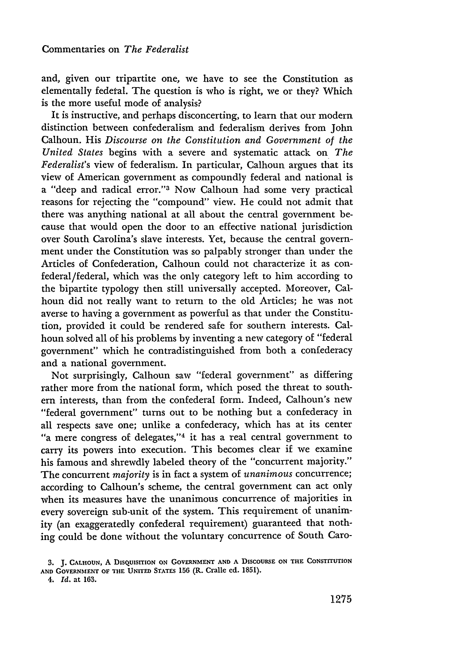and, given our tripartite one, we have to see the Constitution as elementally fedetal. The question is who is right, we or they? Which is the more useful mode of analysis?

It is instructive, and perhaps disconcerting, to learn that our modern distinction between confederalism and federalism derives from John Calhoun. His *Discourse on the Constitution and Government of the United States* begins with a severe and systematic attack on *The Federalist's* view of federalism. In particular, Calhoun argues that its view of American government as compoundly federal and national is a "deep and radical error."3 Now Calhoun had some very practical reasons for rejecting the "compound" view. He could not admit that there was anything national at all about the central government because that would open the door to an effective national jurisdiction over South Carolina's slave interests. Yet, because the central government under the Constitution was so palpably stronger than under the Articles of Confederation, Calhoun could not characterize it as confederal/federal, which was the only category left to him according to the bipartite typology then still universally accepted. Moreover, Calhoun did not really want to return to the old Articles; he was not averse to having a government as powerful as that under the Constitution, provided it could be rendered safe for southern interests. Calhoun solved all of his problems by inventing a new category of "federal government" which he contradistinguished from both a confederacy and a national government.

Not surprisingly, Calhoun saw "federal government" as differing rather more from the national form, which posed the threat to southern interests, than from the confederal form. Indeed, Calhoun's new "federal government" turns out to be nothing but a confederacy in all respects save one; unlike a confederacy, which has at its center "a mere congress of delegates,"<sup>4</sup> it has a real central government to carry its powers into execution. This becomes clear if we examine his famous and shrewdly labeled theory of the "concurrent majority." The concurrent *majority* is in fact a system of *unanimous* concurrence; according to Calhoun's scheme, the central government can act only when its measures have the unanimous concurrence of majorities in every sovereign sub-unit of the system. This requirement of unanimity (an exaggeratedly confederal requirement) guaranteed that nothing could be done without the voluntary concurrence of South Caro-

**AND GOVERNMENT OF THE UNITED STATES 156 (R.** Cralle **ed. 1851).**

*4. Id.* at **163.**

**<sup>3.</sup> J. CALHOUN, A DISQUISITION ON GOVERNMENT AND A DISCOURSE ON THE CONSTITUTION**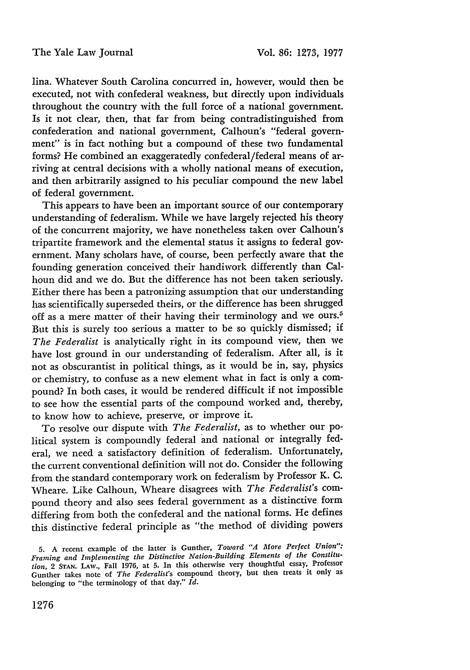lina. Whatever South Carolina concurred in, however, would then be executed, not with confederal weakness, but directly upon individuals throughout the country with the full force of a national government. Is it not clear, then, that far from being contradistinguished from confederation and national government, Calhoun's "federal government" is in fact nothing but a compound of these two fundamental forms? He combined an exaggeratedly confederal/federal means of arriving at central decisions with a wholly national means of execution, and then arbitrarily assigned to his peculiar compound the new label of federal government.

This appears to have been an important source of our contemporary understanding of federalism. While we have largely rejected his theory of the concurrent majority, we have nonetheless taken over Calhoun's tripartite framework and the elemental status it assigns to federal government. Many scholars have, of course, been perfectly aware that the founding generation conceived their handiwork differently than Calhoun did and we do. But the difference has not been taken seriously. Either there has been a patronizing assumption that our understanding has scientifically superseded theirs, or the difference has been shrugged off as a mere matter of their having their terminology and we ours.<sup>5</sup> But this is surely too serious a matter to be so quickly dismissed; if *The Federalist* is analytically right in its compound view, then we have lost ground in our understanding of federalism. After all, is it not as obscurantist in political things, as it would be in, say, physics or chemistry, to confuse as a new element what in fact is only a compound? In both cases, it would be rendered difficult if not impossible to see how the essential parts of the compound worked and, thereby, to know how to achieve, preserve, or improve it.

To resolve our dispute with *The Federalist,* as to whether our political system is compoundly federal and national or integrally federal, we need a satisfactory definition of federalism. Unfortunately, the current conventional definition will not do. Consider the following from the standard contemporary work on federalism by Professor K. C. Wheare. Like Calhoun, Wheare disagrees with *The Federalist's* compound theory and also sees federal government as a distinctive form differing from both the confederal and the national forms. He defines this distinctive federal principle as "the method of dividing powers

**<sup>5.</sup>** A recent example of the latter is Gunther, *Toward "A More Perfect Union": Framing and Implementing the Distinctive Nation-Building Elements of the Constitution,* 2 **STAN.** LAW., Fall 1976, at **5.** In this otherwise very thoughtful essay, Professor Gunther takes note of *The Federalist's* compound theory, but then treats it only as belonging to "the terminology of that day." *Id.*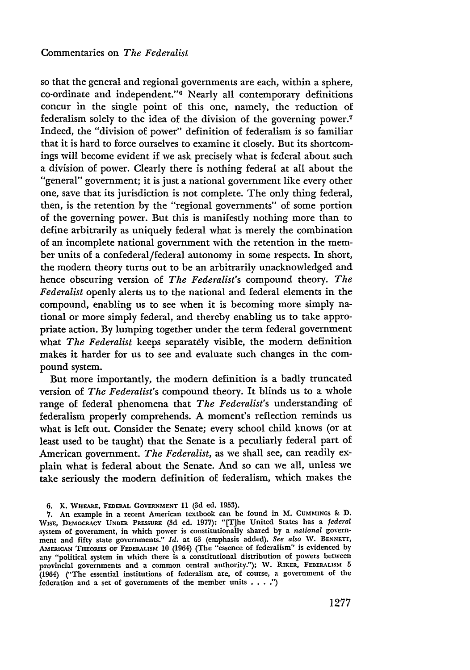so that the general and regional governments are each, within a sphere, co-ordinate and independent."6 Nearly all contemporary definitions concur in the single point of this one, namely, the reduction of federalism solely to the idea of the division of the governing power.<sup>7</sup> Indeed, the "division of power" definition of federalism is so familiar that it is hard to force ourselves to examine it closely. But its shortcomings will become evident if we ask precisely what is federal about such a division of power. Clearly there is nothing federal at all about the "general" government; it is just a national government like every other one, save that its jurisdiction is not complete. The only thing federal, then, is the retention by the "regional governments" of some portion of the governing power. But this is manifestly nothing more than to define arbitrarily as uniquely federal what is merely the combination of an incomplete national government with the retention in the member units of a confederal/federal autonomy in some respects. In short, the modern theory turns out to be an arbitrarily unacknowledged and hence obscuring version of *The Federalist's* compound theory. *The Federalist* openly alerts us to the national and federal elements in the compound, enabling us to see when it is becoming more simply national or more simply federal, and thereby enabling us to take appropriate action. By lumping together under the term federal government what *The Federalist* keeps separately visible, the modern definition makes it harder for us to see and evaluate such changes in the compound system.

But more importantly, the modem definition is a badly truncated version of *The Federalist's* compound theory. It blinds us to a whole range of federal phenomena that *The Federalist's* understanding of federalism properly comprehends. **A** moment's reflection reminds us what is left out. Consider the Senate; every school child knows (or at least used to be taught) that the Senate is a peculiarly federal part of American government. *The Federalist,* as we shall see, can readily explain what is federal about the Senate. And so can we all, unless we take seriously the modem definition of federalism, which makes the

**<sup>6.</sup>** K. WHEARE, FEDERAL **GOVERNMENT 11 (3d ed. 1953).**

**<sup>7.</sup>** An example in a recent American textbook can **be** found in M. CUMMINGS **& D. VISE,** DErMOCRACY **UNDER** PRssURE **(3d ed. 1977):** "[T]he United States has a *federal* system of government, in which power is constitutionally shared by a *national* government and fifty state governments." *Id.* at 63 (emphasis added). *See also* W. BENNETr, **AMERICAN THEoRIES oF FEDERALISM** 10 (1964) (The "essence of federalism" is evidenced by any "political system in which there is a constitutional distribution of powers between provincial governments and a common central authority."); W. RIKER, **FEDERALISM 5** (1964) ("The essential institutions of federalism are, of course, a government of the federation and a set of governments of the member units **. . ..")**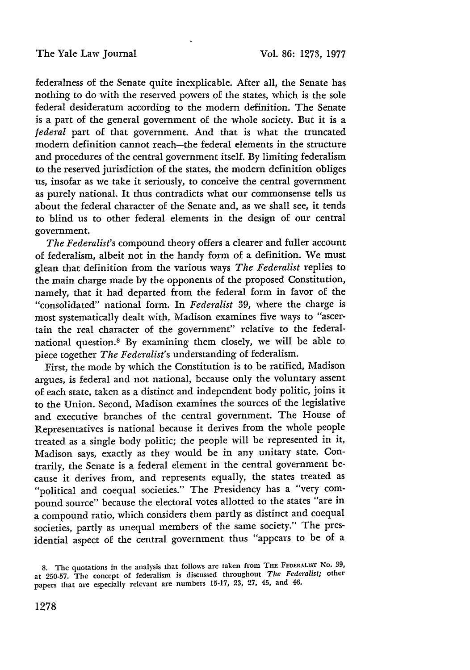federalness of the Senate quite inexplicable. After all, the Senate has nothing to do with the reserved powers of the states, which is the sole federal desideratum according to the modern definition. The Senate is a part of the general government of the whole society. But it is a *federal* part of that government. And that is what the truncated modem definition cannot reach-the federal elements in the structure and procedures of the central government itself. By limiting federalism to the reserved jurisdiction of the states, the modem definition obliges us, insofar as we take it seriously, to conceive the central government as purely national. It thus contradicts what our commonsense tells us about the federal character of the Senate and, as we shall see, it tends to blind us to other federal elements in the design of our central government.

*The Federalist's* compound theory offers a clearer and fuller account of federalism, albeit not in the handy form of a definition. We must glean that definition from the various ways *The Federalist* replies to the main charge made by the opponents of the proposed Constitution, namely, that it had departed from the federal form in favor of the "consolidated" national form. In *Federalist* 39, where the charge is most systematically dealt with, Madison examines five ways to "ascertain the real character of the government" relative to the federalnational question.<sup>8</sup> By examining them closely, we will be able to piece together *The Federalist's* understanding of federalism.

First, the mode by which the Constitution is to be ratified, Madison argues, is federal and not national, because only the voluntary assent of each state, taken as a distinct and independent body politic, joins it to the Union. Second, Madison examines the sources of the legislative and executive branches of the central government. The House of Representatives is national because it derives from the whole people treated as a single body politic; the people will be represented in it, Madison says, exactly as they would be in any unitary state. Contrarily, the Senate is a federal element in the central government because it derives from, and represents equally, the states treated as "political and coequal societies." The Presidency has a "very compound source" because the electoral votes allotted to the states "are in a compound ratio, which considers them partly as distinct and coequal societies, partly as unequal members of the same society." The presidential aspect of the central government thus "appears to be of a

**<sup>8.</sup>** The quotations in the analysis that follows are taken from **THE** FEDERALIST No. **29,** at 250-57. The concept of federalism is discussed throughout The *Federalist;* other papers that are especially relevant are numbers 15-17, 23, **27,** 45, and 46.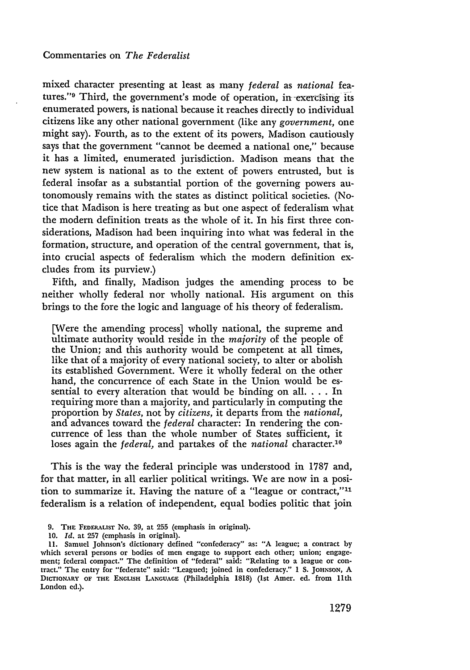mixed character presenting at least as many *federal* as *national* features."<sup>9</sup> Third, the government's mode of operation, in exercising its enumerated powers, is national because it reaches directly to individual citizens like any other national government (like any *government,* one might say). Fourth, as to the extent of its powers, Madison cautiously says that the government "cannot be deemed a national one," because it has a limited, enumerated jurisdiction. Madison means that the new system is national as to the extent of powers entrusted, but is federal insofar as a substantial portion of the governing powers autonomously remains with the states as distinct political societies. (Notice that Madison is here treating as but one aspect of federalism what the modern definition treats as the whole of it. In his first three considerations, Madison had been inquiring into what was federal in the formation, structure, and operation of the central government, that is, into crucial aspects of federalism which the modern definition excludes from its purview.)

Fifth, and finally, Madison judges the amending process to be neither wholly federal nor wholly national. His argument on this brings to the fore the logic and language of his theory of federalism.

[Were the amending process] wholly national, the supreme and ultimate authority would reside in the *majority* of the people of the Union; and this authority would be competent at all times, like that of a majority of every national society, to alter or abolish its established Government. Were it wholly federal on the other hand, the concurrence of each State in the Union would be essential to every alteration that would be binding on all. . **.** . In requiring more than a majority, and particularly in computing the proportion by *States,* not by *citizens,* it departs from the *national,* and advances toward the *federal* character: In rendering the concurrence of less than the whole number of States sufficient, it loses again the *federal*, and partakes of the *national* character.<sup>10</sup>

This is the way the federal principle was understood in 1787 and, for that matter, in all earlier political writings. We are now in a position to summarize it. Having the nature of a "league or contract,"<sup>11</sup> federalism is a relation of independent, equal bodies politic that join

- 9. THE FEDERALIST No. 39, at 255 (emphasis in original).
- 10. *Id.* at 257 (emphasis in original).

11. Samuel Johnson's dictionary defined "confederacy" as: "A league; a contract by which several persons or bodies of men engage to support each other; union; engagement; federal compact." The definition of "federal" said: "Relating to a league or contract." The entry for "federate" said: "Leagued; joined in confederacy." 1 S. **JOHNSON,** A DICTIONARY **OF THE ENGLISH LANGUAGE** (Philadelphia 1818) (1st Amer. ed. from l1th London ed.).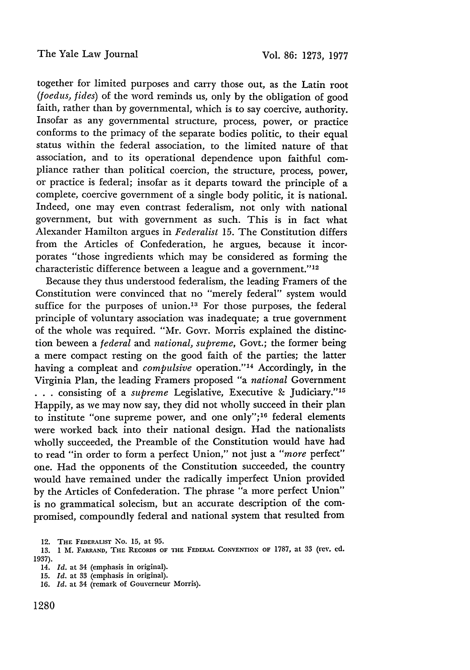together for limited purposes and carry those out, as the Latin root *(foedus, fides)* of the word reminds us, only by the obligation of good faith, rather than by governmental, which is to say coercive, authority. Insofar as any governmental structure, process, power, or practice conforms to the primacy of the separate bodies politic, to their equal status within the federal association, to the limited nature of that association, and to its operational dependence upon faithful compliance rather than political coercion, the structure, process, power, or practice is federal; insofar as it departs toward the principle of a complete, coercive government of a single body politic, it is national. Indeed, one may even contrast federalism, not only with national government, but with government as such. This is in fact what Alexander Hamilton argues in *Federalist* 15. The Constitution differs from the Articles of Confederation, he argues, because it incorporates "those ingredients which may be considered as forming the characteristic difference between a league and a government." $12$ 

Because they thus understood federalism, the leading Framers of the Constitution were convinced that no "merely federal" system would suffice for the purposes of union.<sup>13</sup> For those purposes, the federal principle of voluntary association was inadequate; a true government of the whole was required. "Mr. Govr. Morris explained the distinction beween a *federal* and *national, supreme,* Govt.; the former being a mere compact resting on the good faith of the parties; the latter having a compleat and *compulsive* operation."'14 Accordingly, in the Virginia Plan, the leading Framers proposed "a *national* Government **...** consisting of a *supreme* Legislative, Executive & Judiciary."<sup>15</sup> Happily, as we may now say, they did not wholly succeed in their plan to institute "one supreme power, and one only"; $16$  federal elements were worked back into their national design. Had the nationalists wholly succeeded, the Preamble of the Constitution would have had to read "in order to form a perfect Union," not just a *"more* perfect" one. Had the opponents of the Constitution succeeded, the country would have remained under the radically imperfect Union provided by the Articles of Confederation. The phrase "a more perfect Union" is no grammatical solecism, but an accurate description of the compromised, compoundly federal and national system that resulted from

**12. THE** FEDERALIST No. **15,** at **95.**

**<sup>13. 1</sup>** M. FARRAND, **THE** RECORDS **OF** THE FEDRAL **CONVENTION** OF **1787,** at **33** (rev. **ed. 1937).**

<sup>14.</sup> *Id.* at 34 (emphasis in original).

**<sup>15.</sup>** *Id.* at **33** (emphasis in original).

**<sup>16.</sup>** *Id.* at 34 (remark **of** Gouverneur Morris).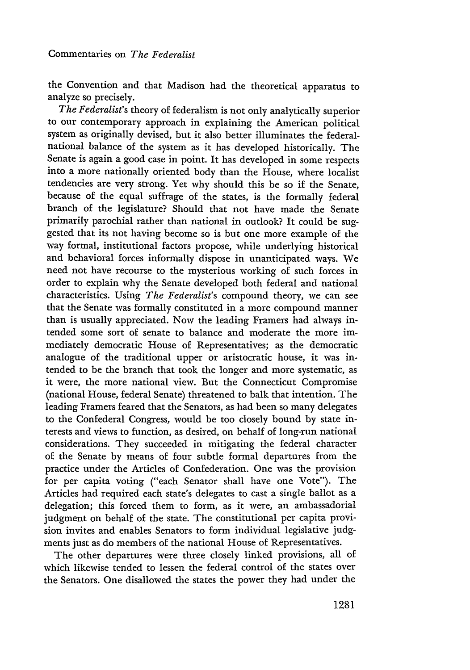the Convention and that Madison had the theoretical apparatus to analyze so precisely.

*The Federalist's* theory of federalism is not only analytically superior to our contemporary approach in explaining the American political system as originally devised, but it also better illuminates the federalnational balance of the system as it has developed historically. The Senate is again a good case in point. It has developed in some respects into a more nationally oriented body than the House, where localist tendencies are very strong. Yet why should this be so if the Senate, because of the equal suffrage of the states, is the formally federal branch of the legislature? Should that not have made the Senate primarily parochial rather than national in outlook? It could be suggested that its not having become so is but one more example of the way formal, institutional factors propose, while underlying historical and behavioral forces informally dispose in unanticipated ways. We need not have recourse to the mysterious working of such forces in order to explain why the Senate developed both federal and national characteristics. Using *The Federalist's* compound theory, we can see that the Senate was formally constituted in a more compound manner than is usually appreciated. Now the leading Framers had always intended some sort of senate to balance and moderate the more immediately democratic House of Representatives; as the democratic analogue of the traditional upper or aristocratic house, it was intended to be the branch that took the longer and more systematic, as it were, the more national view. But the Connecticut Compromise (national House, federal Senate) threatened to balk that intention. The leading Framers feared that the Senators, as had been so many delegates to the Confederal Congress, would be too closely bound by state interests and views to function, as desired, on behalf of long-run national considerations. They succeeded in mitigating the federal character of the Senate by means of four subtle formal departures from the practice under the Articles of Confederation. One was the provision for per capita voting ("each Senator shall have one Vote"). The Articles had required each state's delegates to cast a single ballot as a delegation; this forced them to form, as it were, an ambassadorial judgment on behalf of the state. The constitutional per capita provision invites and enables Senators to form individual legislative judgments just as do members of the national House of Representatives.

The other departures were three closely linked provisions, all of which likewise tended to lessen the federal control of the states over the Senators. One disallowed the states the power they had under the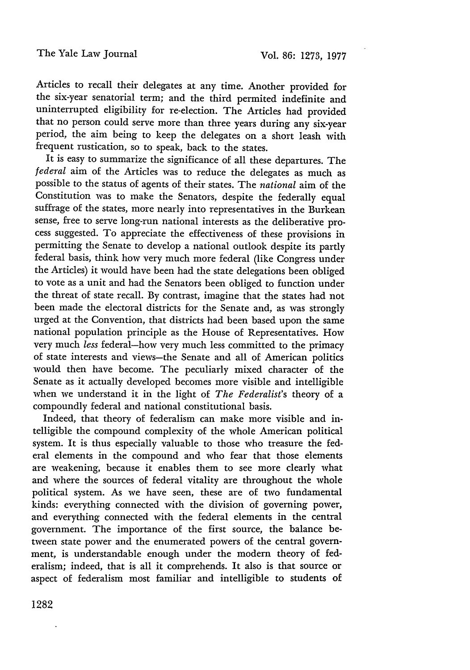Articles to recall their delegates at any time. Another provided for the six-year senatorial term; and the third permited indefinite and uninterrupted eligibility for re-election. The Articles had provided that no person could serve more than three years during any six-year period, the aim being to keep the delegates on a short leash with frequent rustication, so to speak, back to the states.

It is easy to summarize the significance of all these departures. The *federal* aim of the Articles was to reduce the delegates as much as possible to the status of agents of their states. The *national* aim of the Constitution was to make the Senators, despite the federally equal suffrage of the states, more nearly into representatives in the Burkean sense, free to serve long-run national interests as the deliberative process suggested. To appreciate the effectiveness of these provisions in permitting the Senate to develop a national outlook despite its partly federal basis, think how very much more federal (like Congress under the Articles) it would have been had the state delegations been obliged to vote as a unit and had the Senators been obliged to function under the threat of state recall. By contrast, imagine that the states had not been made the electoral districts for the Senate and, as was strongly urged at the Convention, that districts had been based upon the same national population principle as the House of Representatives. How very much *less* federal-how very much less committed to the primacy of state interests and views-the Senate and all of American politics would then have become. The peculiarly mixed character of the Senate as it actually developed becomes more visible and intelligible when we understand it in the light of *The Federalist's* theory of a compoundly federal and national constitutional basis.

Indeed, that theory of federalism can make more visible and intelligible the compound complexity of the whole American political system. It is thus especially valuable to those who treasure the federal elements in the compound and who fear that those elements are weakening, because it enables them to see more clearly what and where the sources of federal vitality are throughout the whole political system. As we have seen, these are of two fundamental kinds: everything connected with the division of governing power, and everything connected with the federal elements in the central government. The importance of the first source, the balance between state power and the enumerated powers of the central government, is understandable enough under the modern theory of federalism; indeed, that is all it comprehends. It also is that source or aspect of federalism most familiar and intelligible to students of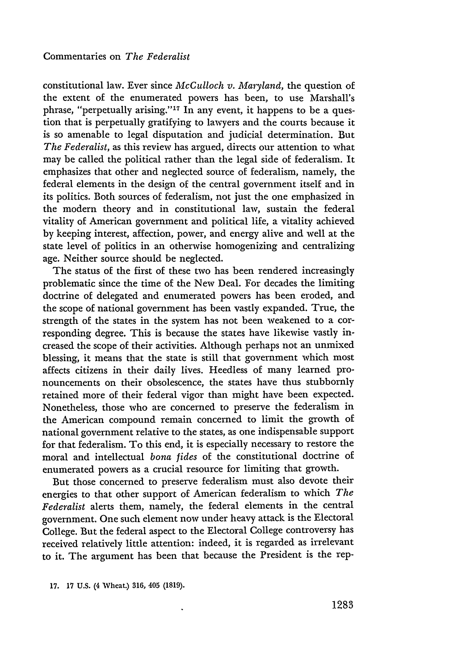constitutional law. Ever since *McCulloch v. Maryland,* the question of the extent of the enumerated powers has been, to use Marshall's phrase, "perpetually arising."<sup>17</sup> In any event, it happens to be a question that is perpetually gratifying to lawyers and the courts because it is so amenable to legal disputation and judicial determination. But *The Federalist,* as this review has argued, directs our attention to what may be called the political rather than the legal side of federalism. It emphasizes that other and neglected source of federalism, namely, the federal elements in the design of the central government itself and in its politics. Both sources of federalism, not just the one emphasized in the modern theory and in constitutional law, sustain the federal vitality of American government and political life, a vitality achieved by keeping interest, affection, power, and energy alive and well at the state level of politics in an otherwise homogenizing and centralizing age. Neither source should be neglected.

The status of the first of these two has been rendered increasingly problematic since the time of the New Deal. For decades the limiting doctrine of delegated and enumerated powers has been eroded, and the scope of national government has been vastly expanded. True, the strength of the states in the system has not been weakened to a corresponding degree. This is because the states have likewise vastly increased the scope of their activities. Although perhaps not an unmixed blessing, it means that the state is still that government which most affects citizens in their daily lives. Heedless of many learned pronouncements on their obsolescence, the states have thus stubbornly retained more of their federal vigor than might have been expected. Nonetheless, those who are concerned to preserve the federalism in the American compound remain concerned to limit the growth of national government relative to the states, as one indispensable support for that federalism. To this end, it is especially necessary to restore the moral and intellectual *bona fides* of the constitutional doctrine of enumerated powers as a crucial resource for limiting that growth.

But those concerned to preserve federalism must also devote their energies to that other support of American federalism to which *The Federalist* alerts them, namely, the federal elements in the central government. One such element now under heavy attack is the Electoral College. But the federal aspect to the Electoral College controversy has received relatively little attention: indeed, it is regarded as irrelevant to it. The argument has been that because the President is the rep-

**17. 17 U.S.** (4 **Wheat.) 316, 405 (1819).**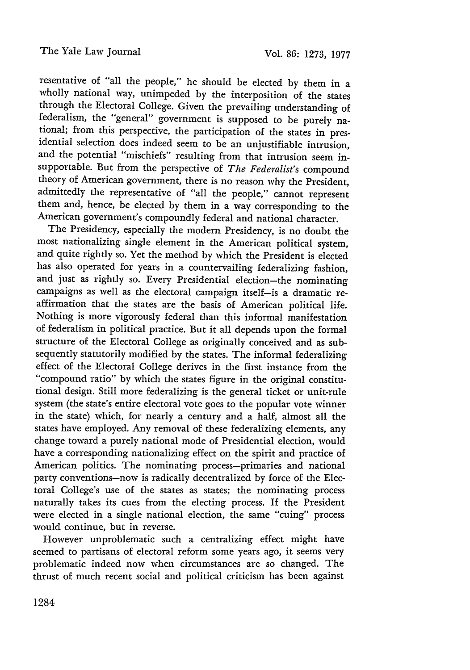resentative of "all the people," he should be elected by them in a wholly national way, unimpeded by the interposition of the states through the Electoral College. Given the prevailing understanding of federalism, the "general" government is supposed to be purely national; from this perspective, the participation of the states in presidential selection does indeed seem to be an unjustifiable intrusion, and the potential "mischiefs" resulting from that intrusion seem insupportable. But from the perspective of *The Federalist's* compound theory of American government, there is no reason why the President, admittedly the representative of "all the people," cannot represent them and, hence, be elected by them in a way corresponding to the American government's compoundly federal and national character.

The Presidency, especially the modern Presidency, is no doubt the most nationalizing single element in the American political system, and quite rightly so. Yet the method by which the President is elected has also operated for years in a countervailing federalizing fashion, and just as rightly so. Every Presidential election-the nominating campaigns as well as the electoral campaign itself-is a dramatic reaffirmation that the states are the basis of American political life. Nothing is more vigorously federal than this informal manifestation of federalism in political practice. But it all depends upon the formal structure of the Electoral College as originally conceived and as subsequently statutorily modified by the states. The informal federalizing effect of the Electoral College derives in the first instance from the "compound ratio" by which the states figure in the original constitutional design. Still more federalizing is the general ticket or unit-rule system (the state's entire electoral vote goes to the popular vote winner in the state) which, for nearly a century and a half, almost all the states have employed. Any removal of these federalizing elements, any change toward a purely national mode of Presidential election, would have a corresponding nationalizing effect on the spirit and practice of American politics. The nominating process-primaries and national party conventions-now is radically decentralized by force of the Electoral College's use of the states as states; the nominating process naturally takes its cues from the electing process. If the President were elected in a single national election, the same "cuing" process would continue, but in reverse.

However unproblematic such a centralizing effect might have seemed to partisans of electoral reform some years ago, it seems very problematic indeed now when circumstances are so changed. The thrust of much recent social and political criticism has been against